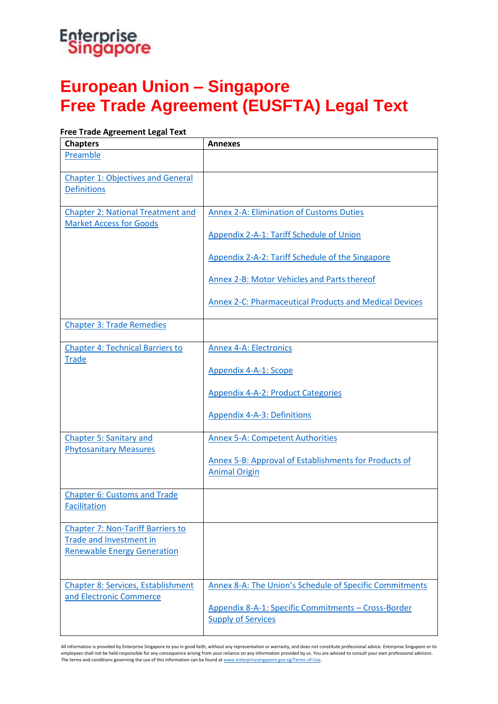### Enterprise<br>Singapore

### **European Union – Singapore Free Trade Agreement (EUSFTA) Legal Text**

#### **Free Trade Agreement Legal Text**

| <b>Chapters</b>                                                            | <b>Annexes</b>                                          |
|----------------------------------------------------------------------------|---------------------------------------------------------|
| Preamble                                                                   |                                                         |
| <b>Chapter 1: Objectives and General</b><br><b>Definitions</b>             |                                                         |
|                                                                            |                                                         |
| <b>Chapter 2: National Treatment and</b><br><b>Market Access for Goods</b> | <b>Annex 2-A: Elimination of Customs Duties</b>         |
|                                                                            | Appendix 2-A-1: Tariff Schedule of Union                |
|                                                                            | Appendix 2-A-2: Tariff Schedule of the Singapore        |
|                                                                            | Annex 2-B: Motor Vehicles and Parts thereof             |
|                                                                            | Annex 2-C: Pharmaceutical Products and Medical Devices  |
| <b>Chapter 3: Trade Remedies</b>                                           |                                                         |
| <b>Chapter 4: Technical Barriers to</b>                                    | <b>Annex 4-A: Electronics</b>                           |
| <b>Trade</b>                                                               | Appendix 4-A-1: Scope                                   |
|                                                                            | <b>Appendix 4-A-2: Product Categories</b>               |
|                                                                            | <b>Appendix 4-A-3: Definitions</b>                      |
| <b>Chapter 5: Sanitary and</b>                                             | <b>Annex 5-A: Competent Authorities</b>                 |
| <b>Phytosanitary Measures</b>                                              | Annex 5-B: Approval of Establishments for Products of   |
|                                                                            | <b>Animal Origin</b>                                    |
| <b>Chapter 6: Customs and Trade</b><br><b>Facilitation</b>                 |                                                         |
|                                                                            |                                                         |
| <b>Chapter 7: Non-Tariff Barriers to</b>                                   |                                                         |
| <b>Trade and Investment in</b>                                             |                                                         |
| <b>Renewable Energy Generation</b>                                         |                                                         |
| <b>Chapter 8: Services, Establishment</b>                                  | Annex 8-A: The Union's Schedule of Specific Commitments |
| and Electronic Commerce                                                    | Appendix 8-A-1: Specific Commitments - Cross-Border     |
|                                                                            | <b>Supply of Services</b>                               |

All information is provided by Enterprise Singapore to you in good faith, without any representation or warranty, and does not constitute professional advice. Enterprise Singapore or its employees shall not be held responsible for any consequence arising from your reliance on any information provided by us. You are advised to consult your own professional advisors.<br>The terms and conditions governing the us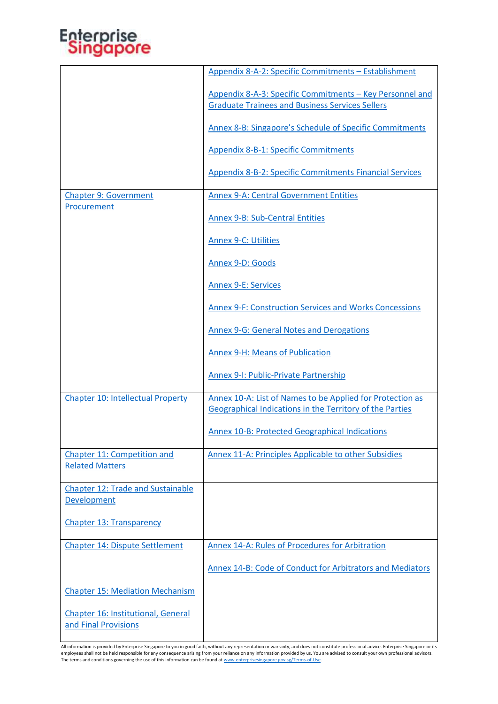## Enterprise<br>Singapore

|                                                            | Appendix 8-A-2: Specific Commitments - Establishment                                                               |
|------------------------------------------------------------|--------------------------------------------------------------------------------------------------------------------|
|                                                            | Appendix 8-A-3: Specific Commitments - Key Personnel and<br><b>Graduate Trainees and Business Services Sellers</b> |
|                                                            | Annex 8-B: Singapore's Schedule of Specific Commitments                                                            |
|                                                            | <b>Appendix 8-B-1: Specific Commitments</b>                                                                        |
|                                                            | <b>Appendix 8-B-2: Specific Commitments Financial Services</b>                                                     |
| <b>Chapter 9: Government</b><br>Procurement                | <b>Annex 9-A: Central Government Entities</b>                                                                      |
|                                                            | <b>Annex 9-B: Sub-Central Entities</b>                                                                             |
|                                                            | <b>Annex 9-C: Utilities</b>                                                                                        |
|                                                            | Annex 9-D: Goods                                                                                                   |
|                                                            | <b>Annex 9-E: Services</b>                                                                                         |
|                                                            | Annex 9-F: Construction Services and Works Concessions                                                             |
|                                                            | <b>Annex 9-G: General Notes and Derogations</b>                                                                    |
|                                                            | <b>Annex 9-H: Means of Publication</b>                                                                             |
|                                                            | <b>Annex 9-I: Public-Private Partnership</b>                                                                       |
| <b>Chapter 10: Intellectual Property</b>                   | Annex 10-A: List of Names to be Applied for Protection as                                                          |
|                                                            | <b>Geographical Indications in the Territory of the Parties</b>                                                    |
|                                                            | <b>Annex 10-B: Protected Geographical Indications</b>                                                              |
| Chapter 11: Competition and<br><b>Related Matters</b>      | Annex 11-A: Principles Applicable to other Subsidies                                                               |
| <b>Chapter 12: Trade and Sustainable</b><br>Development    |                                                                                                                    |
| <b>Chapter 13: Transparency</b>                            |                                                                                                                    |
| <b>Chapter 14: Dispute Settlement</b>                      | <b>Annex 14-A: Rules of Procedures for Arbitration</b>                                                             |
|                                                            | Annex 14-B: Code of Conduct for Arbitrators and Mediators                                                          |
| <b>Chapter 15: Mediation Mechanism</b>                     |                                                                                                                    |
| Chapter 16: Institutional, General<br>and Final Provisions |                                                                                                                    |

All information is provided by Enterprise Singapore to you in good faith, without any representation or warranty, and does not constitute professional advice. Enterprise Singapore or its<br>employees shall not be held respons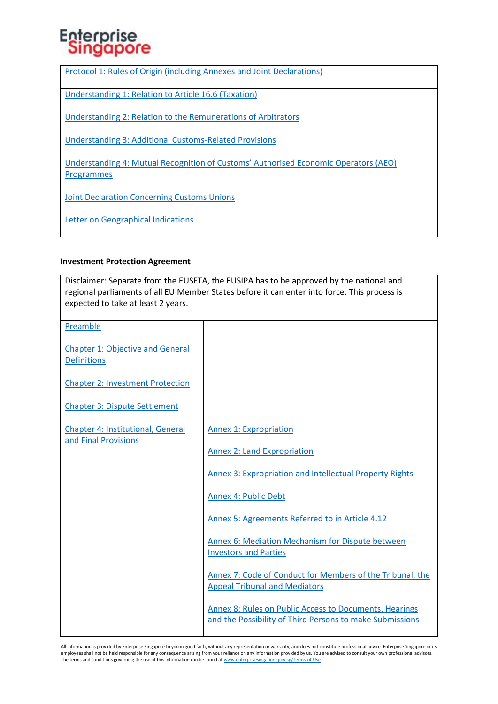# Enterprise<br>Singapore

[Protocol 1: Rules of Origin \(including Annexes and Joint Declarations\)](https://www.enterprisesg.gov.sg/-/media/esg/files/non-financial-assistance/for-companies/free-trade-agreements/eusfta/EUSFTA_Protocol_1.pdf)

[Understanding 1: Relation to Article 16.6 \(Taxation\)](https://www.enterprisesg.gov.sg/-/media/esg/files/non-financial-assistance/for-companies/free-trade-agreements/eusfta/EUSFTA_Understanding_1.pdf)

[Understanding 2: Relation to the Remunerations of Arbitrators](https://www.enterprisesg.gov.sg/-/media/esg/files/non-financial-assistance/for-companies/free-trade-agreements/eusfta/EUSFTA_Understanding_2.pdf)

[Understanding 3: Additional Customs-Related Provisions](https://www.enterprisesg.gov.sg/-/media/esg/files/non-financial-assistance/for-companies/free-trade-agreements/eusfta/EUSFTA_Understanding_3.pdf)

[Understanding 4: Mutual Recognition of Customs' Authorised Economic Operators \(AEO\)](https://www.enterprisesg.gov.sg/-/media/esg/files/non-financial-assistance/for-companies/free-trade-agreements/eusfta/EUSFTA_Understanding_4.pdf)  **[Programmes](https://www.enterprisesg.gov.sg/-/media/esg/files/non-financial-assistance/for-companies/free-trade-agreements/eusfta/EUSFTA_Understanding_4.pdf)** 

[Joint Declaration Concerning Customs Unions](https://www.enterprisesg.gov.sg/-/media/esg/files/non-financial-assistance/for-companies/free-trade-agreements/eusfta/EUSFTA_Joint_Declaration_Concerning_customs_Unions.pdf)

[Letter on Geographical Indications](https://www.enterprisesg.gov.sg/-/media/esg/files/non-financial-assistance/for-companies/free-trade-agreements/eusfta/EUSFTA_2013_GI_side_letter.pdf)

#### **Investment Protection Agreement**

Disclaimer: Separate from the EUSFTA, the EUSIPA has to be approved by the national and regional parliaments of all EU Member States before it can enter into force. This process is expected to take at least 2 years.

| Preamble                                                         |                                                                                                                           |
|------------------------------------------------------------------|---------------------------------------------------------------------------------------------------------------------------|
| <b>Chapter 1: Objective and General</b><br><b>Definitions</b>    |                                                                                                                           |
| <b>Chapter 2: Investment Protection</b>                          |                                                                                                                           |
| <b>Chapter 3: Dispute Settlement</b>                             |                                                                                                                           |
| <b>Chapter 4: Institutional, General</b><br>and Final Provisions | <b>Annex 1: Expropriation</b>                                                                                             |
|                                                                  | <b>Annex 2: Land Expropriation</b>                                                                                        |
|                                                                  | <b>Annex 3: Expropriation and Intellectual Property Rights</b>                                                            |
|                                                                  | Annex 4: Public Debt                                                                                                      |
|                                                                  | Annex 5: Agreements Referred to in Article 4.12                                                                           |
|                                                                  | Annex 6: Mediation Mechanism for Dispute between<br><b>Investors and Parties</b>                                          |
|                                                                  | Annex 7: Code of Conduct for Members of the Tribunal, the<br><b>Appeal Tribunal and Mediators</b>                         |
|                                                                  | <b>Annex 8: Rules on Public Access to Documents, Hearings</b><br>and the Possibility of Third Persons to make Submissions |

All information is provided by Enterprise Singapore to you in good faith, without any representation or warranty, and does not constitute professional advice. Enterprise Singapore or its employees shall not be held responsible for any consequence arising from your reliance on any information provided by us. You are advised to consult your own professional advisors. The terms and conditions governing the use of this information can be found a[t www.enterprisesingapore.gov.sg/Terms-of-Use.](http://www.enterprisesingapore.gov.sg/Terms-of-Use)